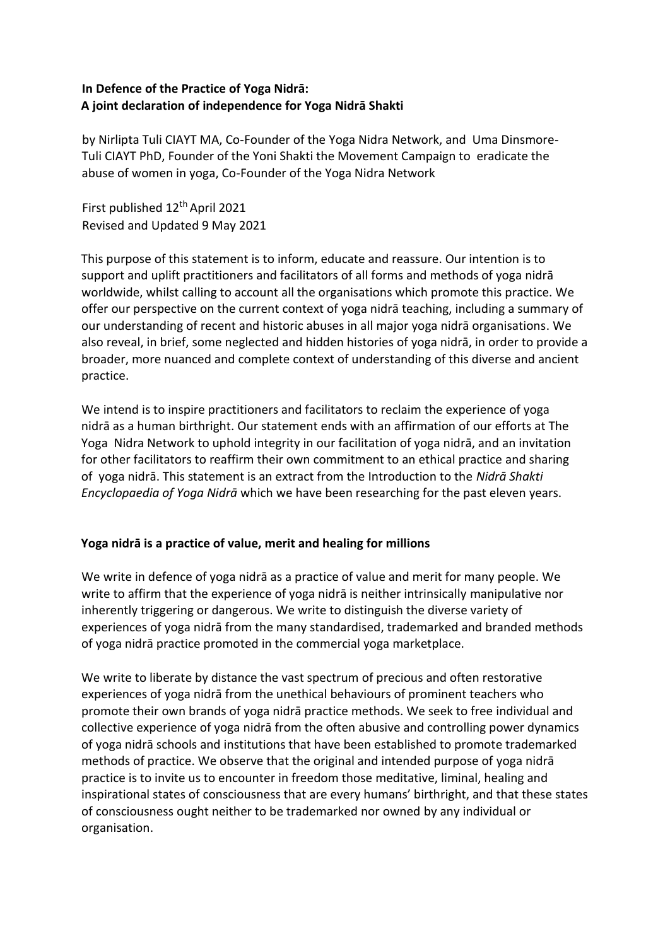# **In Defence of the Practice of Yoga Nidrā: A joint declaration of independence for Yoga Nidrā Shakti**

by Nirlipta Tuli CIAYT MA, Co-Founder of the Yoga Nidra Network, and Uma Dinsmore-Tuli CIAYT PhD, Founder of the Yoni Shakti the Movement Campaign to eradicate the abuse of women in yoga, Co-Founder of the Yoga Nidra Network

First published 12<sup>th</sup> April 2021 Revised and Updated 9 May 2021

This purpose of this statement is to inform, educate and reassure. Our intention is to support and uplift practitioners and facilitators of all forms and methods of yoga nidrā worldwide, whilst calling to account all the organisations which promote this practice. We offer our perspective on the current context of yoga nidrā teaching, including a summary of our understanding of recent and historic abuses in all major yoga nidrā organisations. We also reveal, in brief, some neglected and hidden histories of yoga nidrā, in order to provide a broader, more nuanced and complete context of understanding of this diverse and ancient practice.

We intend is to inspire practitioners and facilitators to reclaim the experience of yoga nidrā as a human birthright. Our statement ends with an affirmation of our efforts at The Yoga Nidra Network to uphold integrity in our facilitation of yoga nidrā, and an invitation for other facilitators to reaffirm their own commitment to an ethical practice and sharing of yoga nidrā. This statement is an extract from the Introduction to the *Nidrā Shakti Encyclopaedia of Yoga Nidrā* which we have been researching for the past eleven years.

# **Yoga nidrā is a practice of value, merit and healing for millions**

We write in defence of yoga nidrā as a practice of value and merit for many people. We write to affirm that the experience of yoga nidrā is neither intrinsically manipulative nor inherently triggering or dangerous. We write to distinguish the diverse variety of experiences of yoga nidrā from the many standardised, trademarked and branded methods of yoga nidrā practice promoted in the commercial yoga marketplace.

We write to liberate by distance the vast spectrum of precious and often restorative experiences of yoga nidrā from the unethical behaviours of prominent teachers who promote their own brands of yoga nidrā practice methods. We seek to free individual and collective experience of yoga nidrā from the often abusive and controlling power dynamics of yoga nidrā schools and institutions that have been established to promote trademarked methods of practice. We observe that the original and intended purpose of yoga nidrā practice is to invite us to encounter in freedom those meditative, liminal, healing and inspirational states of consciousness that are every humans' birthright, and that these states of consciousness ought neither to be trademarked nor owned by any individual or organisation.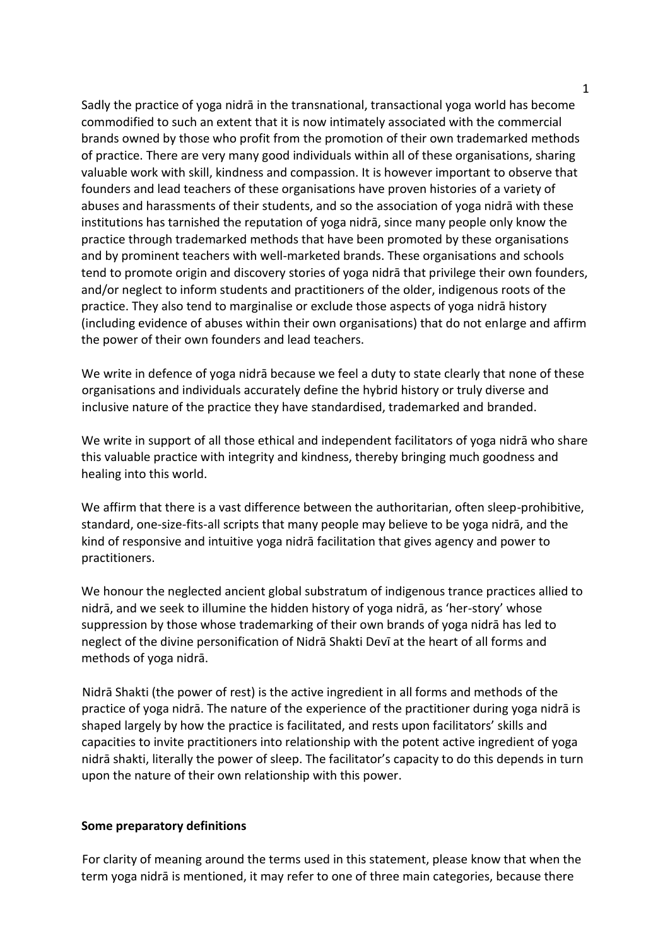Sadly the practice of yoga nidrā in the transnational, transactional yoga world has become commodified to such an extent that it is now intimately associated with the commercial brands owned by those who profit from the promotion of their own trademarked methods of practice. There are very many good individuals within all of these organisations, sharing valuable work with skill, kindness and compassion. It is however important to observe that founders and lead teachers of these organisations have proven histories of a variety of abuses and harassments of their students, and so the association of yoga nidrā with these institutions has tarnished the reputation of yoga nidrā, since many people only know the practice through trademarked methods that have been promoted by these organisations and by prominent teachers with well-marketed brands. These organisations and schools tend to promote origin and discovery stories of yoga nidrā that privilege their own founders, and/or neglect to inform students and practitioners of the older, indigenous roots of the practice. They also tend to marginalise or exclude those aspects of yoga nidrā history (including evidence of abuses within their own organisations) that do not enlarge and affirm the power of their own founders and lead teachers.

We write in defence of yoga nidrā because we feel a duty to state clearly that none of these organisations and individuals accurately define the hybrid history or truly diverse and inclusive nature of the practice they have standardised, trademarked and branded.

We write in support of all those ethical and independent facilitators of yoga nidrā who share this valuable practice with integrity and kindness, thereby bringing much goodness and healing into this world.

We affirm that there is a vast difference between the authoritarian, often sleep-prohibitive, standard, one-size-fits-all scripts that many people may believe to be yoga nidrā, and the kind of responsive and intuitive yoga nidrā facilitation that gives agency and power to practitioners.

We honour the neglected ancient global substratum of indigenous trance practices allied to nidrā, and we seek to illumine the hidden history of yoga nidrā, as 'her-story' whose suppression by those whose trademarking of their own brands of yoga nidrā has led to neglect of the divine personification of Nidrā Shakti Devī at the heart of all forms and methods of yoga nidrā.

Nidrā Shakti (the power of rest) is the active ingredient in all forms and methods of the practice of yoga nidrā. The nature of the experience of the practitioner during yoga nidrā is shaped largely by how the practice is facilitated, and rests upon facilitators' skills and capacities to invite practitioners into relationship with the potent active ingredient of yoga nidrā shakti, literally the power of sleep. The facilitator's capacity to do this depends in turn upon the nature of their own relationship with this power.

#### **Some preparatory definitions**

For clarity of meaning around the terms used in this statement, please know that when the term yoga nidrā is mentioned, it may refer to one of three main categories, because there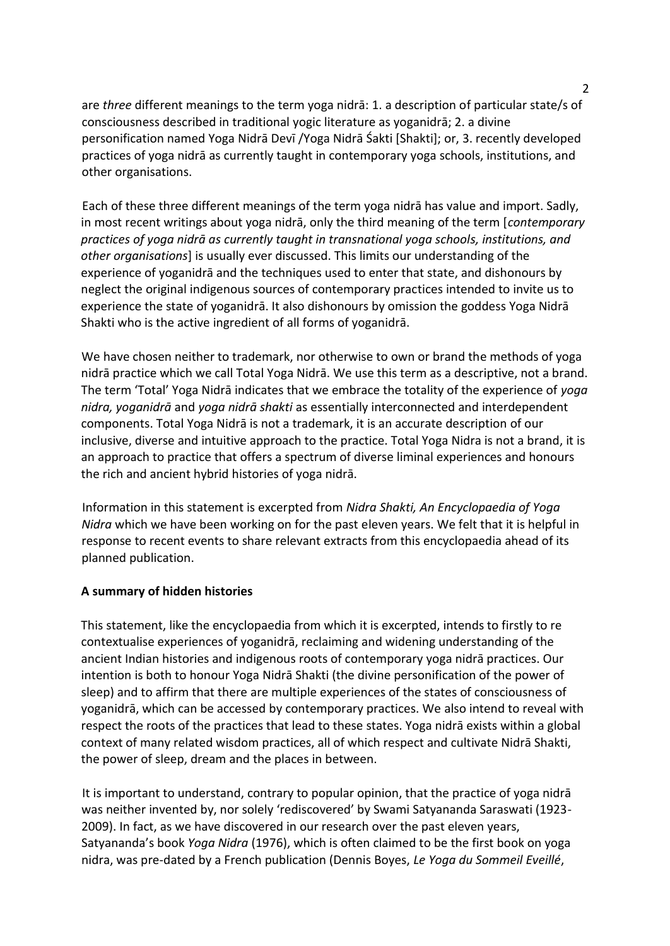are *three* different meanings to the term yoga nidrā: 1. a description of particular state/s of consciousness described in traditional yogic literature as yoganidrā; 2. a divine personification named Yoga Nidrā Devī /Yoga Nidrā Śakti [Shakti]; or, 3. recently developed practices of yoga nidrā as currently taught in contemporary yoga schools, institutions, and other organisations.

Each of these three different meanings of the term yoga nidrā has value and import. Sadly, in most recent writings about yoga nidrā, only the third meaning of the term [*contemporary practices of yoga nidrā as currently taught in transnational yoga schools, institutions, and other organisations*] is usually ever discussed. This limits our understanding of the experience of yoganidrā and the techniques used to enter that state, and dishonours by neglect the original indigenous sources of contemporary practices intended to invite us to experience the state of yoganidrā. It also dishonours by omission the goddess Yoga Nidrā Shakti who is the active ingredient of all forms of yoganidrā.

We have chosen neither to trademark, nor otherwise to own or brand the methods of yoga nidrā practice which we call Total Yoga Nidrā. We use this term as a descriptive, not a brand. The term 'Total' Yoga Nidrā indicates that we embrace the totality of the experience of *yoga nidra, yoganidrā* and *yoga nidrā shakti* as essentially interconnected and interdependent components. Total Yoga Nidrā is not a trademark, it is an accurate description of our inclusive, diverse and intuitive approach to the practice. Total Yoga Nidra is not a brand, it is an approach to practice that offers a spectrum of diverse liminal experiences and honours the rich and ancient hybrid histories of yoga nidrā.

Information in this statement is excerpted from *Nidra Shakti, An Encyclopaedia of Yoga Nidra* which we have been working on for the past eleven years. We felt that it is helpful in response to recent events to share relevant extracts from this encyclopaedia ahead of its planned publication.

## **A summary of hidden histories**

This statement, like the encyclopaedia from which it is excerpted, intends to firstly to re contextualise experiences of yoganidrā, reclaiming and widening understanding of the ancient Indian histories and indigenous roots of contemporary yoga nidrā practices. Our intention is both to honour Yoga Nidrā Shakti (the divine personification of the power of sleep) and to affirm that there are multiple experiences of the states of consciousness of yoganidrā, which can be accessed by contemporary practices. We also intend to reveal with respect the roots of the practices that lead to these states. Yoga nidrā exists within a global context of many related wisdom practices, all of which respect and cultivate Nidrā Shakti, the power of sleep, dream and the places in between.

It is important to understand, contrary to popular opinion, that the practice of yoga nidrā was neither invented by, nor solely 'rediscovered' by Swami Satyananda Saraswati (1923- 2009). In fact, as we have discovered in our research over the past eleven years, Satyananda's book *Yoga Nidra* (1976), which is often claimed to be the first book on yoga nidra, was pre-dated by a French publication (Dennis Boyes, *Le Yoga du Sommeil Eveillé*,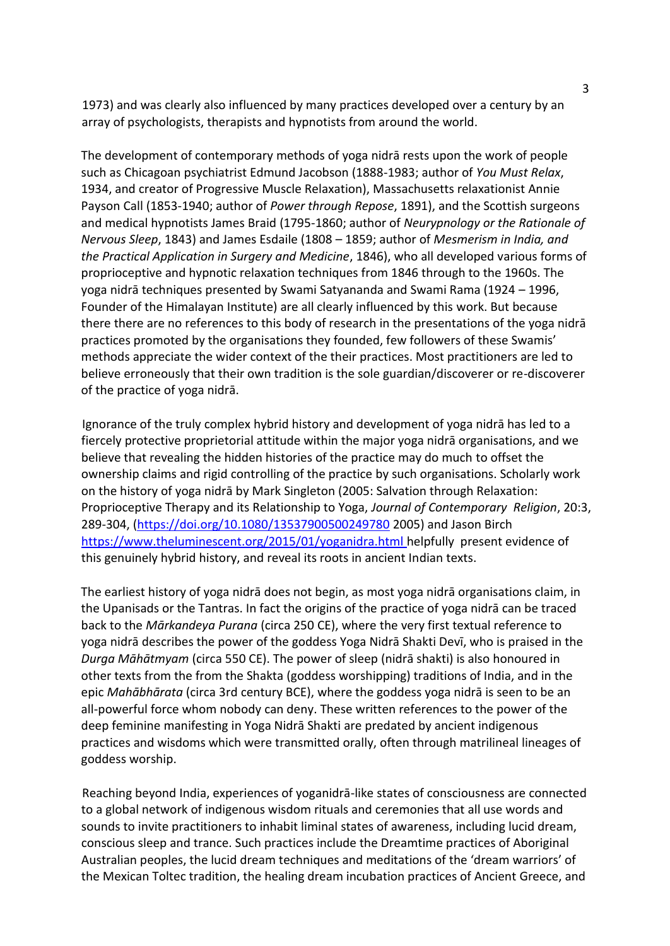1973) and was clearly also influenced by many practices developed over a century by an array of psychologists, therapists and hypnotists from around the world.

The development of contemporary methods of yoga nidrā rests upon the work of people such as Chicagoan psychiatrist Edmund Jacobson (1888-1983; author of *You Must Relax*, 1934, and creator of Progressive Muscle Relaxation), Massachusetts relaxationist Annie Payson Call (1853-1940; author of *Power through Repose*, 1891), and the Scottish surgeons and medical hypnotists James Braid (1795-1860; author of *Neurypnology or the Rationale of Nervous Sleep*, 1843) and James Esdaile (1808 – 1859; author of *Mesmerism in India, and the Practical Application in Surgery and Medicine*, 1846), who all developed various forms of proprioceptive and hypnotic relaxation techniques from 1846 through to the 1960s. The yoga nidrā techniques presented by Swami Satyananda and Swami Rama (1924 – 1996, Founder of the Himalayan Institute) are all clearly influenced by this work. But because there there are no references to this body of research in the presentations of the yoga nidrā practices promoted by the organisations they founded, few followers of these Swamis' methods appreciate the wider context of the their practices. Most practitioners are led to believe erroneously that their own tradition is the sole guardian/discoverer or re-discoverer of the practice of yoga nidrā.

Ignorance of the truly complex hybrid history and development of yoga nidrā has led to a fiercely protective proprietorial attitude within the major yoga nidrā organisations, and we believe that revealing the hidden histories of the practice may do much to offset the ownership claims and rigid controlling of the practice by such organisations. Scholarly work on the history of yoga nidrā by Mark Singleton (2005: Salvation through Relaxation: Proprioceptive Therapy and its Relationship to Yoga, *Journal of Contemporary Religion*, 20:3, 289-304, (https://doi.org/10.1080/13537900500249780 2005) and Jason Birch https://www.theluminescent.org/2015/01/yoganidra.html helpfully present evidence of this genuinely hybrid history, and reveal its roots in ancient Indian texts.

The earliest history of yoga nidrā does not begin, as most yoga nidrā organisations claim, in the Upanisads or the Tantras. In fact the origins of the practice of yoga nidrā can be traced back to the *Mārkandeya Purana* (circa 250 CE), where the very first textual reference to yoga nidrā describes the power of the goddess Yoga Nidrā Shakti Devī, who is praised in the *Durga Māhātmyam* (circa 550 CE). The power of sleep (nidrā shakti) is also honoured in other texts from the from the Shakta (goddess worshipping) traditions of India, and in the epic *Mahābhārata* (circa 3rd century BCE), where the goddess yoga nidrā is seen to be an all-powerful force whom nobody can deny. These written references to the power of the deep feminine manifesting in Yoga Nidrā Shakti are predated by ancient indigenous practices and wisdoms which were transmitted orally, often through matrilineal lineages of goddess worship.

Reaching beyond India, experiences of yoganidrā-like states of consciousness are connected to a global network of indigenous wisdom rituals and ceremonies that all use words and sounds to invite practitioners to inhabit liminal states of awareness, including lucid dream, conscious sleep and trance. Such practices include the Dreamtime practices of Aboriginal Australian peoples, the lucid dream techniques and meditations of the 'dream warriors' of the Mexican Toltec tradition, the healing dream incubation practices of Ancient Greece, and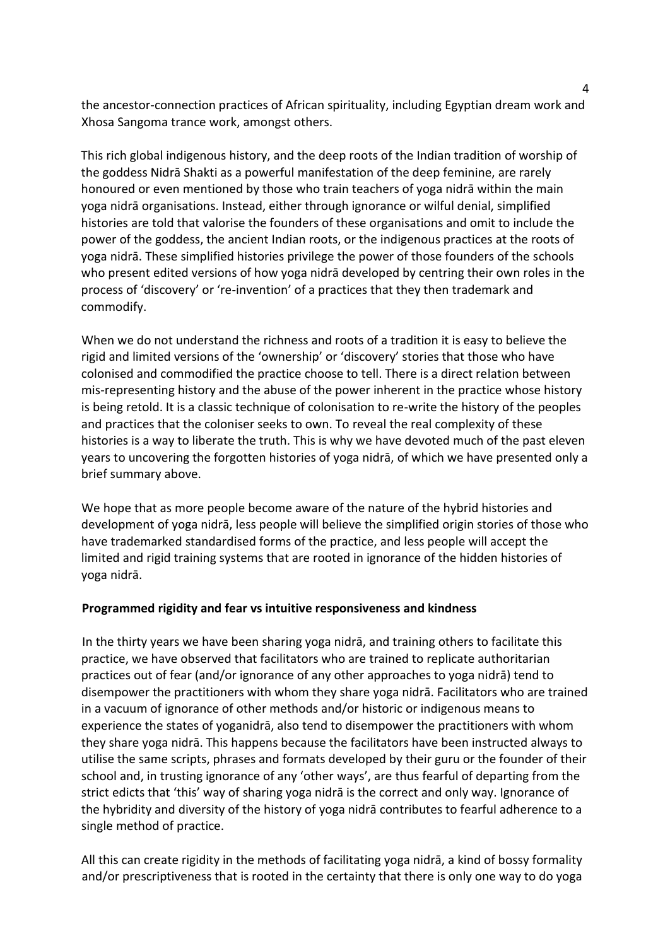the ancestor-connection practices of African spirituality, including Egyptian dream work and Xhosa Sangoma trance work, amongst others.

This rich global indigenous history, and the deep roots of the Indian tradition of worship of the goddess Nidrā Shakti as a powerful manifestation of the deep feminine, are rarely honoured or even mentioned by those who train teachers of yoga nidrā within the main yoga nidrā organisations. Instead, either through ignorance or wilful denial, simplified histories are told that valorise the founders of these organisations and omit to include the power of the goddess, the ancient Indian roots, or the indigenous practices at the roots of yoga nidrā. These simplified histories privilege the power of those founders of the schools who present edited versions of how yoga nidrā developed by centring their own roles in the process of 'discovery' or 're-invention' of a practices that they then trademark and commodify.

When we do not understand the richness and roots of a tradition it is easy to believe the rigid and limited versions of the 'ownership' or 'discovery' stories that those who have colonised and commodified the practice choose to tell. There is a direct relation between mis-representing history and the abuse of the power inherent in the practice whose history is being retold. It is a classic technique of colonisation to re-write the history of the peoples and practices that the coloniser seeks to own. To reveal the real complexity of these histories is a way to liberate the truth. This is why we have devoted much of the past eleven years to uncovering the forgotten histories of yoga nidrā, of which we have presented only a brief summary above.

We hope that as more people become aware of the nature of the hybrid histories and development of yoga nidrā, less people will believe the simplified origin stories of those who have trademarked standardised forms of the practice, and less people will accept the limited and rigid training systems that are rooted in ignorance of the hidden histories of yoga nidrā.

## **Programmed rigidity and fear vs intuitive responsiveness and kindness**

In the thirty years we have been sharing yoga nidrā, and training others to facilitate this practice, we have observed that facilitators who are trained to replicate authoritarian practices out of fear (and/or ignorance of any other approaches to yoga nidrā) tend to disempower the practitioners with whom they share yoga nidrā. Facilitators who are trained in a vacuum of ignorance of other methods and/or historic or indigenous means to experience the states of yoganidrā, also tend to disempower the practitioners with whom they share yoga nidrā. This happens because the facilitators have been instructed always to utilise the same scripts, phrases and formats developed by their guru or the founder of their school and, in trusting ignorance of any 'other ways', are thus fearful of departing from the strict edicts that 'this' way of sharing yoga nidrā is the correct and only way. Ignorance of the hybridity and diversity of the history of yoga nidrā contributes to fearful adherence to a single method of practice.

All this can create rigidity in the methods of facilitating yoga nidrā, a kind of bossy formality and/or prescriptiveness that is rooted in the certainty that there is only one way to do yoga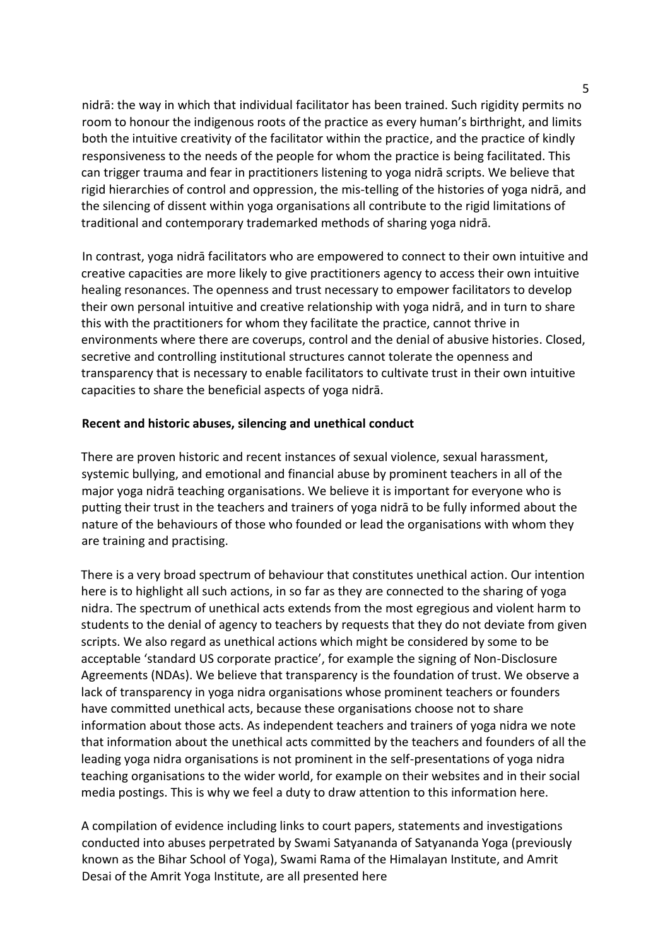nidrā: the way in which that individual facilitator has been trained. Such rigidity permits no room to honour the indigenous roots of the practice as every human's birthright, and limits both the intuitive creativity of the facilitator within the practice, and the practice of kindly responsiveness to the needs of the people for whom the practice is being facilitated. This can trigger trauma and fear in practitioners listening to yoga nidrā scripts. We believe that rigid hierarchies of control and oppression, the mis-telling of the histories of yoga nidrā, and the silencing of dissent within yoga organisations all contribute to the rigid limitations of traditional and contemporary trademarked methods of sharing yoga nidrā.

In contrast, yoga nidrā facilitators who are empowered to connect to their own intuitive and creative capacities are more likely to give practitioners agency to access their own intuitive healing resonances. The openness and trust necessary to empower facilitators to develop their own personal intuitive and creative relationship with yoga nidrā, and in turn to share this with the practitioners for whom they facilitate the practice, cannot thrive in environments where there are coverups, control and the denial of abusive histories. Closed, secretive and controlling institutional structures cannot tolerate the openness and transparency that is necessary to enable facilitators to cultivate trust in their own intuitive capacities to share the beneficial aspects of yoga nidrā.

### **Recent and historic abuses, silencing and unethical conduct**

There are proven historic and recent instances of sexual violence, sexual harassment, systemic bullying, and emotional and financial abuse by prominent teachers in all of the major yoga nidrā teaching organisations. We believe it is important for everyone who is putting their trust in the teachers and trainers of yoga nidrā to be fully informed about the nature of the behaviours of those who founded or lead the organisations with whom they are training and practising.

There is a very broad spectrum of behaviour that constitutes unethical action. Our intention here is to highlight all such actions, in so far as they are connected to the sharing of yoga nidra. The spectrum of unethical acts extends from the most egregious and violent harm to students to the denial of agency to teachers by requests that they do not deviate from given scripts. We also regard as unethical actions which might be considered by some to be acceptable 'standard US corporate practice', for example the signing of Non-Disclosure Agreements (NDAs). We believe that transparency is the foundation of trust. We observe a lack of transparency in yoga nidra organisations whose prominent teachers or founders have committed unethical acts, because these organisations choose not to share information about those acts. As independent teachers and trainers of yoga nidra we note that information about the unethical acts committed by the teachers and founders of all the leading yoga nidra organisations is not prominent in the self-presentations of yoga nidra teaching organisations to the wider world, for example on their websites and in their social media postings. This is why we feel a duty to draw attention to this information here.

A compilation of evidence including links to court papers, statements and investigations conducted into abuses perpetrated by Swami Satyananda of Satyananda Yoga (previously known as the Bihar School of Yoga), Swami Rama of the Himalayan Institute, and Amrit Desai of the Amrit Yoga Institute, are all presented here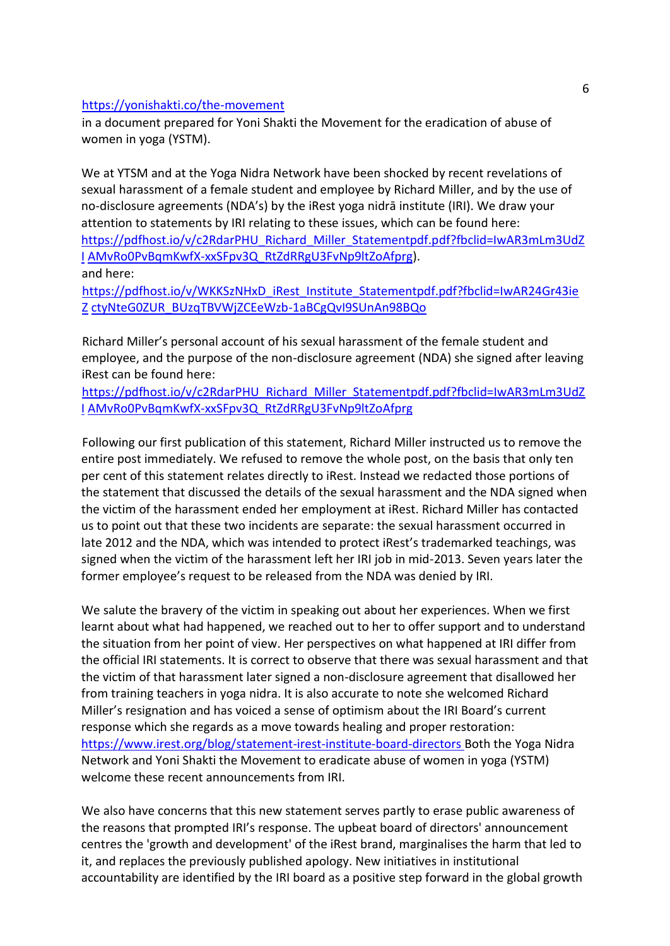#### https://yonishakti.co/the-movement

in a document prepared for Yoni Shakti the Movement for the eradication of abuse of women in yoga (YSTM).

We at YTSM and at the Yoga Nidra Network have been shocked by recent revelations of sexual harassment of a female student and employee by Richard Miller, and by the use of no-disclosure agreements (NDA's) by the iRest yoga nidrā institute (IRI). We draw your attention to statements by IRI relating to these issues, which can be found here: https://pdfhost.io/v/c2RdarPHU\_Richard\_Miller\_Statementpdf.pdf?fbclid=IwAR3mLm3UdZ I AMvRo0PvBqmKwfX-xxSFpv3Q\_RtZdRRgU3FvNp9ltZoAfprg). and here:

https://pdfhost.io/v/WKKSzNHxD\_iRest\_Institute\_Statementpdf.pdf?fbclid=IwAR24Gr43ie Z ctyNteG0ZUR\_BUzqTBVWjZCEeWzb-1aBCgQvI9SUnAn98BQo

Richard Miller's personal account of his sexual harassment of the female student and employee, and the purpose of the non-disclosure agreement (NDA) she signed after leaving iRest can be found here:

https://pdfhost.io/v/c2RdarPHU\_Richard\_Miller\_Statementpdf.pdf?fbclid=IwAR3mLm3UdZ I AMvRo0PvBqmKwfX-xxSFpv3Q\_RtZdRRgU3FvNp9ltZoAfprg

Following our first publication of this statement, Richard Miller instructed us to remove the entire post immediately. We refused to remove the whole post, on the basis that only ten per cent of this statement relates directly to iRest. Instead we redacted those portions of the statement that discussed the details of the sexual harassment and the NDA signed when the victim of the harassment ended her employment at iRest. Richard Miller has contacted us to point out that these two incidents are separate: the sexual harassment occurred in late 2012 and the NDA, which was intended to protect iRest's trademarked teachings, was signed when the victim of the harassment left her IRI job in mid-2013. Seven years later the former employee's request to be released from the NDA was denied by IRI.

We salute the bravery of the victim in speaking out about her experiences. When we first learnt about what had happened, we reached out to her to offer support and to understand the situation from her point of view. Her perspectives on what happened at IRI differ from the official IRI statements. It is correct to observe that there was sexual harassment and that the victim of that harassment later signed a non-disclosure agreement that disallowed her from training teachers in yoga nidra. It is also accurate to note she welcomed Richard Miller's resignation and has voiced a sense of optimism about the IRI Board's current response which she regards as a move towards healing and proper restoration: https://www.irest.org/blog/statement-irest-institute-board-directors Both the Yoga Nidra Network and Yoni Shakti the Movement to eradicate abuse of women in yoga (YSTM) welcome these recent announcements from IRI.

We also have concerns that this new statement serves partly to erase public awareness of the reasons that prompted IRI's response. The upbeat board of directors' announcement centres the 'growth and development' of the iRest brand, marginalises the harm that led to it, and replaces the previously published apology. New initiatives in institutional accountability are identified by the IRI board as a positive step forward in the global growth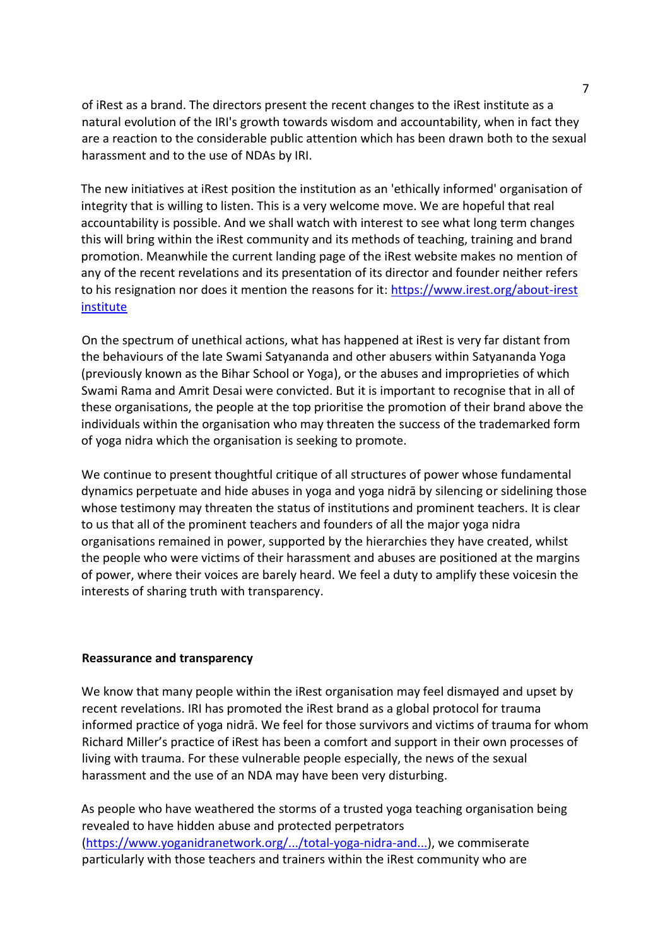of iRest as a brand. The directors present the recent changes to the iRest institute as a natural evolution of the IRI's growth towards wisdom and accountability, when in fact they are a reaction to the considerable public attention which has been drawn both to the sexual harassment and to the use of NDAs by IRI.

The new initiatives at iRest position the institution as an 'ethically informed' organisation of integrity that is willing to listen. This is a very welcome move. We are hopeful that real accountability is possible. And we shall watch with interest to see what long term changes this will bring within the iRest community and its methods of teaching, training and brand promotion. Meanwhile the current landing page of the iRest website makes no mention of any of the recent revelations and its presentation of its director and founder neither refers to his resignation nor does it mention the reasons for it: https://www.irest.org/about-irest institute

On the spectrum of unethical actions, what has happened at iRest is very far distant from the behaviours of the late Swami Satyananda and other abusers within Satyananda Yoga (previously known as the Bihar School or Yoga), or the abuses and improprieties of which Swami Rama and Amrit Desai were convicted. But it is important to recognise that in all of these organisations, the people at the top prioritise the promotion of their brand above the individuals within the organisation who may threaten the success of the trademarked form of yoga nidra which the organisation is seeking to promote.

We continue to present thoughtful critique of all structures of power whose fundamental dynamics perpetuate and hide abuses in yoga and yoga nidrā by silencing or sidelining those whose testimony may threaten the status of institutions and prominent teachers. It is clear to us that all of the prominent teachers and founders of all the major yoga nidra organisations remained in power, supported by the hierarchies they have created, whilst the people who were victims of their harassment and abuses are positioned at the margins of power, where their voices are barely heard. We feel a duty to amplify these voicesin the interests of sharing truth with transparency.

#### **Reassurance and transparency**

We know that many people within the iRest organisation may feel dismayed and upset by recent revelations. IRI has promoted the iRest brand as a global protocol for trauma informed practice of yoga nidrā. We feel for those survivors and victims of trauma for whom Richard Miller's practice of iRest has been a comfort and support in their own processes of living with trauma. For these vulnerable people especially, the news of the sexual harassment and the use of an NDA may have been very disturbing.

As people who have weathered the storms of a trusted yoga teaching organisation being revealed to have hidden abuse and protected perpetrators (https://www.yoganidranetwork.org/.../total-yoga-nidra-and...), we commiserate particularly with those teachers and trainers within the iRest community who are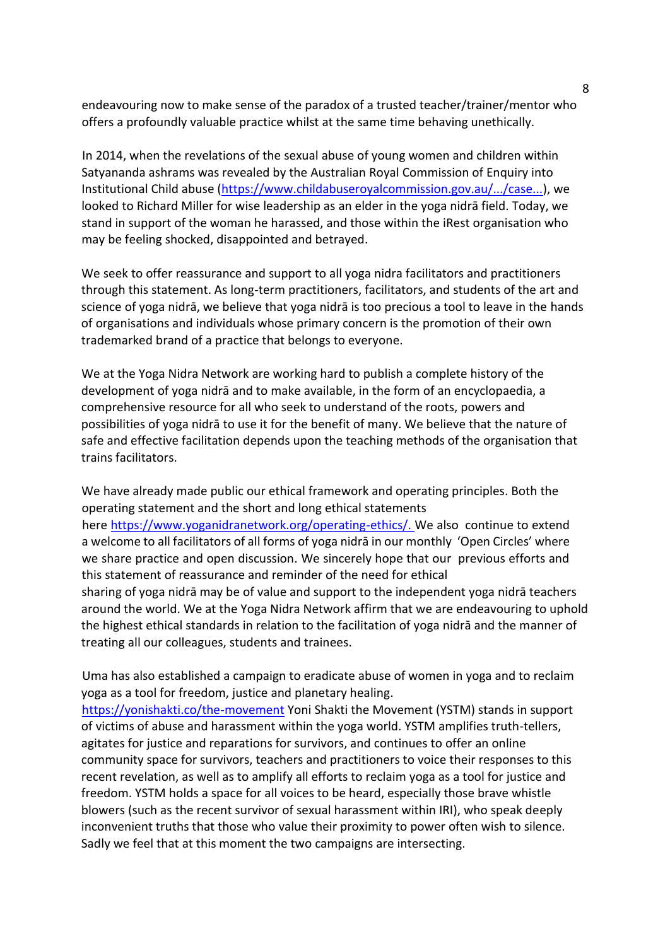endeavouring now to make sense of the paradox of a trusted teacher/trainer/mentor who offers a profoundly valuable practice whilst at the same time behaving unethically.

In 2014, when the revelations of the sexual abuse of young women and children within Satyananda ashrams was revealed by the Australian Royal Commission of Enquiry into Institutional Child abuse (https://www.childabuseroyalcommission.gov.au/.../case...), we looked to Richard Miller for wise leadership as an elder in the yoga nidrā field. Today, we stand in support of the woman he harassed, and those within the iRest organisation who may be feeling shocked, disappointed and betrayed.

We seek to offer reassurance and support to all yoga nidra facilitators and practitioners through this statement. As long-term practitioners, facilitators, and students of the art and science of yoga nidrā, we believe that yoga nidrā is too precious a tool to leave in the hands of organisations and individuals whose primary concern is the promotion of their own trademarked brand of a practice that belongs to everyone.

We at the Yoga Nidra Network are working hard to publish a complete history of the development of yoga nidrā and to make available, in the form of an encyclopaedia, a comprehensive resource for all who seek to understand of the roots, powers and possibilities of yoga nidrā to use it for the benefit of many. We believe that the nature of safe and effective facilitation depends upon the teaching methods of the organisation that trains facilitators.

We have already made public our ethical framework and operating principles. Both the operating statement and the short and long ethical statements here [https://www.yoganidranetwork.org/operating-ethics/.](https://www.yoganidranetwork.org/operating-ethics/) We also continue to extend a welcome to all facilitators of all forms of yoga nidrā in our monthly 'Open Circles' where we share practice and open discussion. We sincerely hope that our previous efforts and this statement of reassurance and reminder of the need for ethical sharing of yoga nidrā may be of value and support to the independent yoga nidrā teachers around the world. We at the Yoga Nidra Network affirm that we are endeavouring to uphold the highest ethical standards in relation to the facilitation of yoga nidrā and the manner of treating all our colleagues, students and trainees.

Uma has also established a campaign to eradicate abuse of women in yoga and to reclaim yoga as a tool for freedom, justice and planetary healing.

https://yonishakti.co/the-movement Yoni Shakti the Movement (YSTM) stands in support of victims of abuse and harassment within the yoga world. YSTM amplifies truth-tellers, agitates for justice and reparations for survivors, and continues to offer an online community space for survivors, teachers and practitioners to voice their responses to this recent revelation, as well as to amplify all efforts to reclaim yoga as a tool for justice and freedom. YSTM holds a space for all voices to be heard, especially those brave whistle blowers (such as the recent survivor of sexual harassment within IRI), who speak deeply inconvenient truths that those who value their proximity to power often wish to silence. Sadly we feel that at this moment the two campaigns are intersecting.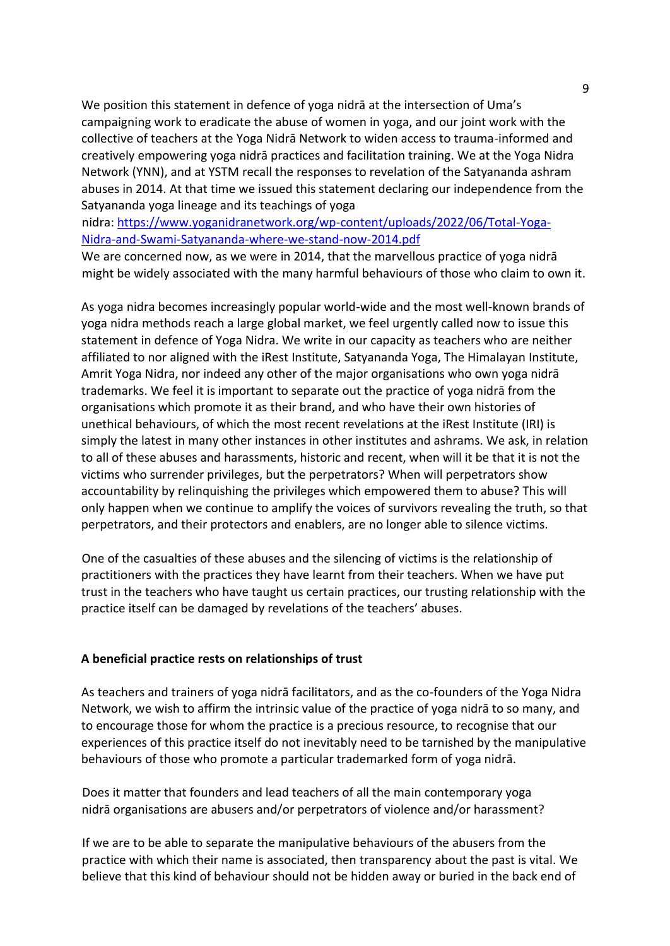We position this statement in defence of yoga nidrā at the intersection of Uma's campaigning work to eradicate the abuse of women in yoga, and our joint work with the collective of teachers at the Yoga Nidrā Network to widen access to trauma-informed and creatively empowering yoga nidrā practices and facilitation training. We at the Yoga Nidra Network (YNN), and at YSTM recall the responses to revelation of the Satyananda ashram abuses in 2014. At that time we issued this statement declaring our independence from the Satyananda yoga lineage and its teachings of yoga

nidra: https://www.yoganidranetwork.org/wp-content/uploads/2022/06/Total-Yoga-Nidra-and-Swami-Satyananda-where-we-stand-now-2014.pdf

We are concerned now, as we were in 2014, that the marvellous practice of yoga nidrā might be widely associated with the many harmful behaviours of those who claim to own it.

As yoga nidra becomes increasingly popular world-wide and the most well-known brands of yoga nidra methods reach a large global market, we feel urgently called now to issue this statement in defence of Yoga Nidra. We write in our capacity as teachers who are neither affiliated to nor aligned with the iRest Institute, Satyananda Yoga, The Himalayan Institute, Amrit Yoga Nidra, nor indeed any other of the major organisations who own yoga nidrā trademarks. We feel it is important to separate out the practice of yoga nidrā from the organisations which promote it as their brand, and who have their own histories of unethical behaviours, of which the most recent revelations at the iRest Institute (IRI) is simply the latest in many other instances in other institutes and ashrams. We ask, in relation to all of these abuses and harassments, historic and recent, when will it be that it is not the victims who surrender privileges, but the perpetrators? When will perpetrators show accountability by relinquishing the privileges which empowered them to abuse? This will only happen when we continue to amplify the voices of survivors revealing the truth, so that perpetrators, and their protectors and enablers, are no longer able to silence victims.

One of the casualties of these abuses and the silencing of victims is the relationship of practitioners with the practices they have learnt from their teachers. When we have put trust in the teachers who have taught us certain practices, our trusting relationship with the practice itself can be damaged by revelations of the teachers' abuses.

#### **A beneficial practice rests on relationships of trust**

As teachers and trainers of yoga nidrā facilitators, and as the co-founders of the Yoga Nidra Network, we wish to affirm the intrinsic value of the practice of yoga nidrā to so many, and to encourage those for whom the practice is a precious resource, to recognise that our experiences of this practice itself do not inevitably need to be tarnished by the manipulative behaviours of those who promote a particular trademarked form of yoga nidrā.

Does it matter that founders and lead teachers of all the main contemporary yoga nidrā organisations are abusers and/or perpetrators of violence and/or harassment?

If we are to be able to separate the manipulative behaviours of the abusers from the practice with which their name is associated, then transparency about the past is vital. We believe that this kind of behaviour should not be hidden away or buried in the back end of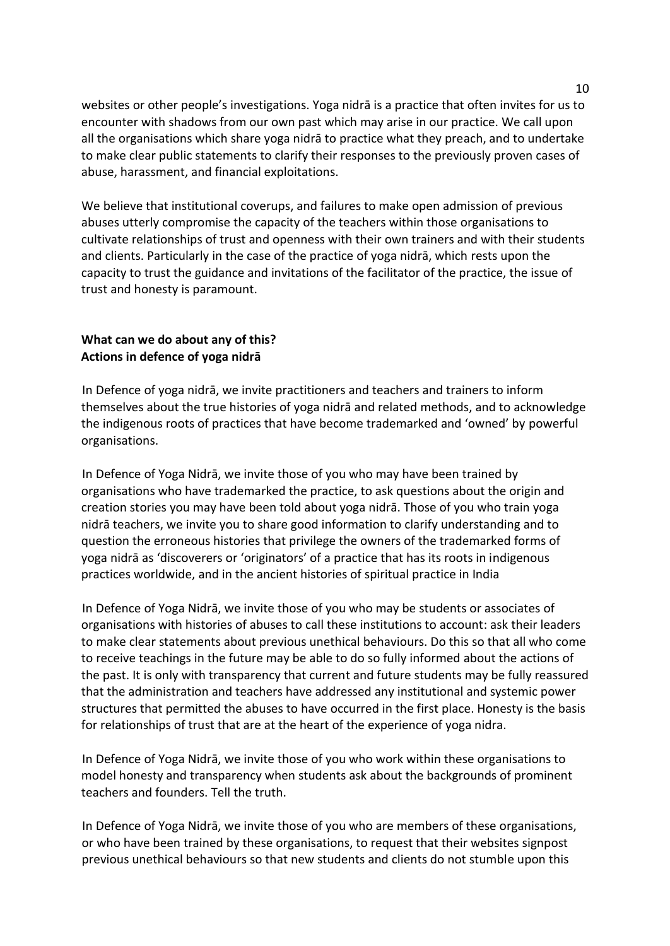websites or other people's investigations. Yoga nidrā is a practice that often invites for us to encounter with shadows from our own past which may arise in our practice. We call upon all the organisations which share yoga nidrā to practice what they preach, and to undertake to make clear public statements to clarify their responses to the previously proven cases of abuse, harassment, and financial exploitations.

We believe that institutional coverups, and failures to make open admission of previous abuses utterly compromise the capacity of the teachers within those organisations to cultivate relationships of trust and openness with their own trainers and with their students and clients. Particularly in the case of the practice of yoga nidrā, which rests upon the capacity to trust the guidance and invitations of the facilitator of the practice, the issue of trust and honesty is paramount.

# **What can we do about any of this? Actions in defence of yoga nidrā**

In Defence of yoga nidrā, we invite practitioners and teachers and trainers to inform themselves about the true histories of yoga nidrā and related methods, and to acknowledge the indigenous roots of practices that have become trademarked and 'owned' by powerful organisations.

In Defence of Yoga Nidrā, we invite those of you who may have been trained by organisations who have trademarked the practice, to ask questions about the origin and creation stories you may have been told about yoga nidrā. Those of you who train yoga nidrā teachers, we invite you to share good information to clarify understanding and to question the erroneous histories that privilege the owners of the trademarked forms of yoga nidrā as 'discoverers or 'originators' of a practice that has its roots in indigenous practices worldwide, and in the ancient histories of spiritual practice in India

In Defence of Yoga Nidrā, we invite those of you who may be students or associates of organisations with histories of abuses to call these institutions to account: ask their leaders to make clear statements about previous unethical behaviours. Do this so that all who come to receive teachings in the future may be able to do so fully informed about the actions of the past. It is only with transparency that current and future students may be fully reassured that the administration and teachers have addressed any institutional and systemic power structures that permitted the abuses to have occurred in the first place. Honesty is the basis for relationships of trust that are at the heart of the experience of yoga nidra.

In Defence of Yoga Nidrā, we invite those of you who work within these organisations to model honesty and transparency when students ask about the backgrounds of prominent teachers and founders. Tell the truth.

In Defence of Yoga Nidrā, we invite those of you who are members of these organisations, or who have been trained by these organisations, to request that their websites signpost previous unethical behaviours so that new students and clients do not stumble upon this